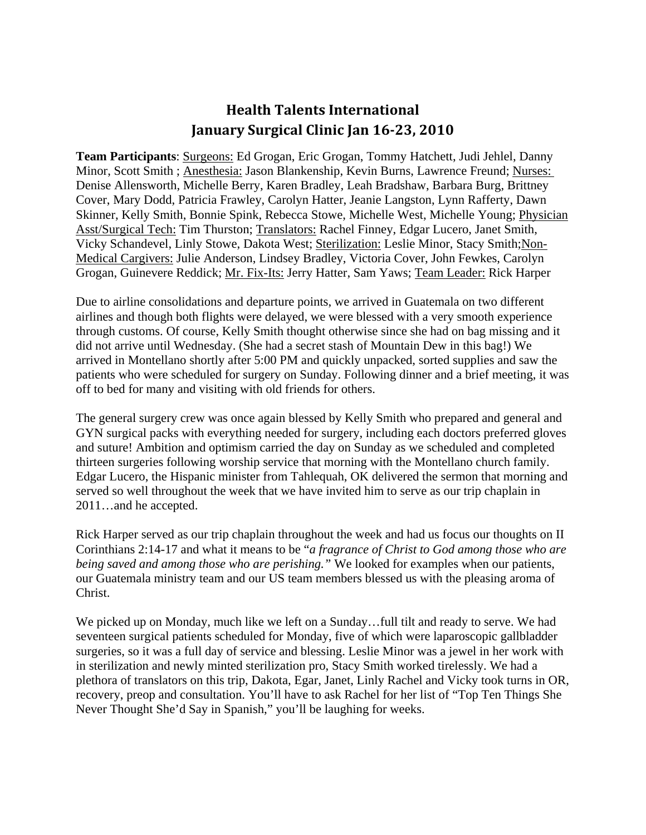## **Health Talents International January Surgical Clinic Jan 1623, 2010**

**Team Participants**: Surgeons: Ed Grogan, Eric Grogan, Tommy Hatchett, Judi Jehlel, Danny Minor, Scott Smith ; Anesthesia: Jason Blankenship, Kevin Burns, Lawrence Freund; Nurses: Denise Allensworth, Michelle Berry, Karen Bradley, Leah Bradshaw, Barbara Burg, Brittney Cover, Mary Dodd, Patricia Frawley, Carolyn Hatter, Jeanie Langston, Lynn Rafferty, Dawn Skinner, Kelly Smith, Bonnie Spink, Rebecca Stowe, Michelle West, Michelle Young; Physician Asst/Surgical Tech: Tim Thurston; Translators: Rachel Finney, Edgar Lucero, Janet Smith, Vicky Schandevel, Linly Stowe, Dakota West; Sterilization: Leslie Minor, Stacy Smith;Non-Medical Cargivers: Julie Anderson, Lindsey Bradley, Victoria Cover, John Fewkes, Carolyn Grogan, Guinevere Reddick; Mr. Fix-Its: Jerry Hatter, Sam Yaws; Team Leader: Rick Harper

Due to airline consolidations and departure points, we arrived in Guatemala on two different airlines and though both flights were delayed, we were blessed with a very smooth experience through customs. Of course, Kelly Smith thought otherwise since she had on bag missing and it did not arrive until Wednesday. (She had a secret stash of Mountain Dew in this bag!) We arrived in Montellano shortly after 5:00 PM and quickly unpacked, sorted supplies and saw the patients who were scheduled for surgery on Sunday. Following dinner and a brief meeting, it was off to bed for many and visiting with old friends for others.

The general surgery crew was once again blessed by Kelly Smith who prepared and general and GYN surgical packs with everything needed for surgery, including each doctors preferred gloves and suture! Ambition and optimism carried the day on Sunday as we scheduled and completed thirteen surgeries following worship service that morning with the Montellano church family. Edgar Lucero, the Hispanic minister from Tahlequah, OK delivered the sermon that morning and served so well throughout the week that we have invited him to serve as our trip chaplain in 2011…and he accepted.

Rick Harper served as our trip chaplain throughout the week and had us focus our thoughts on II Corinthians 2:14-17 and what it means to be "*a fragrance of Christ to God among those who are being saved and among those who are perishing."* We looked for examples when our patients, our Guatemala ministry team and our US team members blessed us with the pleasing aroma of Christ.

We picked up on Monday, much like we left on a Sunday…full tilt and ready to serve. We had seventeen surgical patients scheduled for Monday, five of which were laparoscopic gallbladder surgeries, so it was a full day of service and blessing. Leslie Minor was a jewel in her work with in sterilization and newly minted sterilization pro, Stacy Smith worked tirelessly. We had a plethora of translators on this trip, Dakota, Egar, Janet, Linly Rachel and Vicky took turns in OR, recovery, preop and consultation. You'll have to ask Rachel for her list of "Top Ten Things She Never Thought She'd Say in Spanish," you'll be laughing for weeks.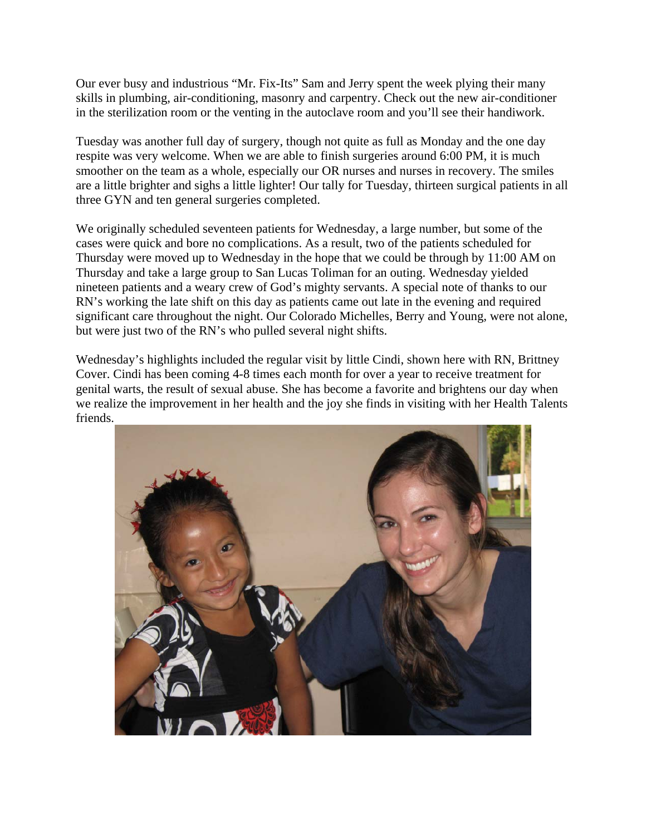Our ever busy and industrious "Mr. Fix-Its" Sam and Jerry spent the week plying their many skills in plumbing, air-conditioning, masonry and carpentry. Check out the new air-conditioner in the sterilization room or the venting in the autoclave room and you'll see their handiwork.

Tuesday was another full day of surgery, though not quite as full as Monday and the one day respite was very welcome. When we are able to finish surgeries around 6:00 PM, it is much smoother on the team as a whole, especially our OR nurses and nurses in recovery. The smiles are a little brighter and sighs a little lighter! Our tally for Tuesday, thirteen surgical patients in all three GYN and ten general surgeries completed.

We originally scheduled seventeen patients for Wednesday, a large number, but some of the cases were quick and bore no complications. As a result, two of the patients scheduled for Thursday were moved up to Wednesday in the hope that we could be through by 11:00 AM on Thursday and take a large group to San Lucas Toliman for an outing. Wednesday yielded nineteen patients and a weary crew of God's mighty servants. A special note of thanks to our RN's working the late shift on this day as patients came out late in the evening and required significant care throughout the night. Our Colorado Michelles, Berry and Young, were not alone, but were just two of the RN's who pulled several night shifts.

Wednesday's highlights included the regular visit by little Cindi, shown here with RN, Brittney Cover. Cindi has been coming 4-8 times each month for over a year to receive treatment for genital warts, the result of sexual abuse. She has become a favorite and brightens our day when we realize the improvement in her health and the joy she finds in visiting with her Health Talents friends.

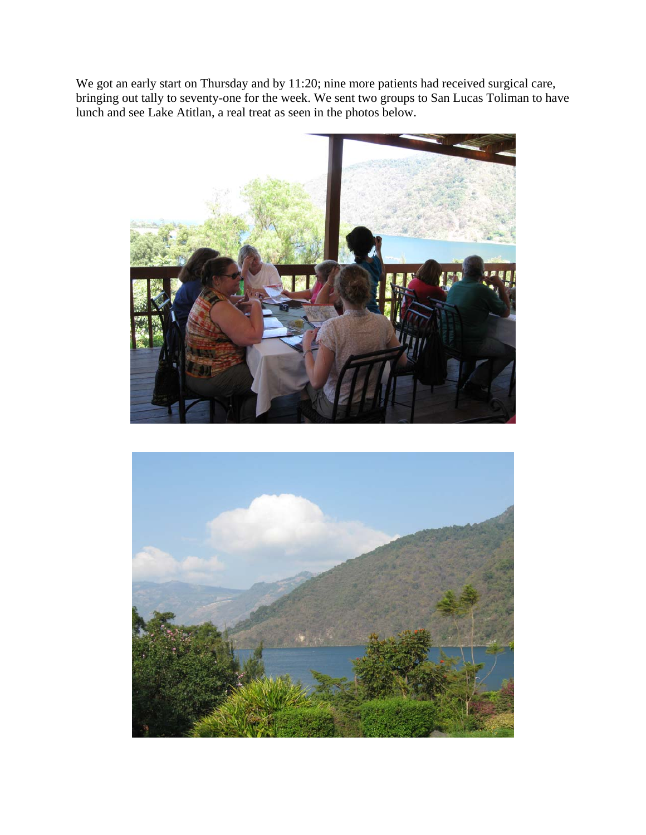We got an early start on Thursday and by 11:20; nine more patients had received surgical care, bringing out tally to seventy-one for the week. We sent two groups to San Lucas Toliman to have lunch and see Lake Atitlan, a real treat as seen in the photos below.